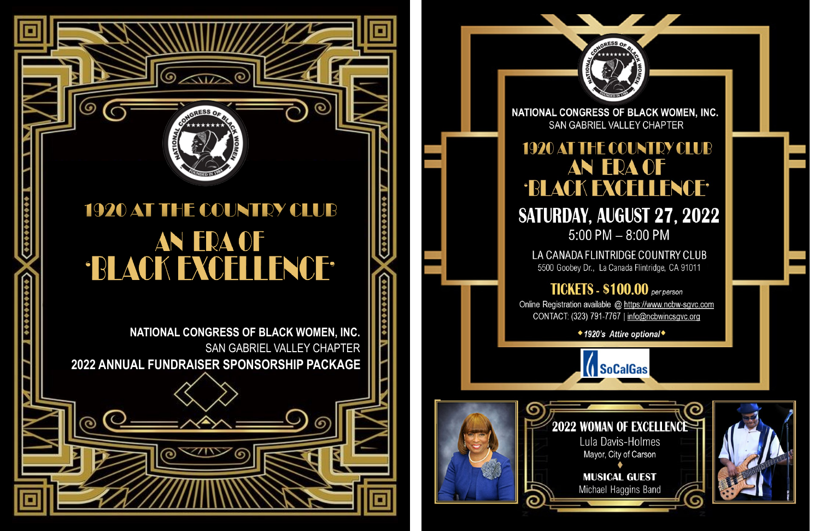# 1920 AT THE COUNTRY CLUB AN ERA OF 'BLACK EXCELLENCE'

G

ග

NATIONAL CONGRESS OF BLACK WOMEN, INC. SAN GABRIEL VALLEY CHAPTER 2022 ANNUAL FUNDRAISER SPONSORSHIP PACKAGE